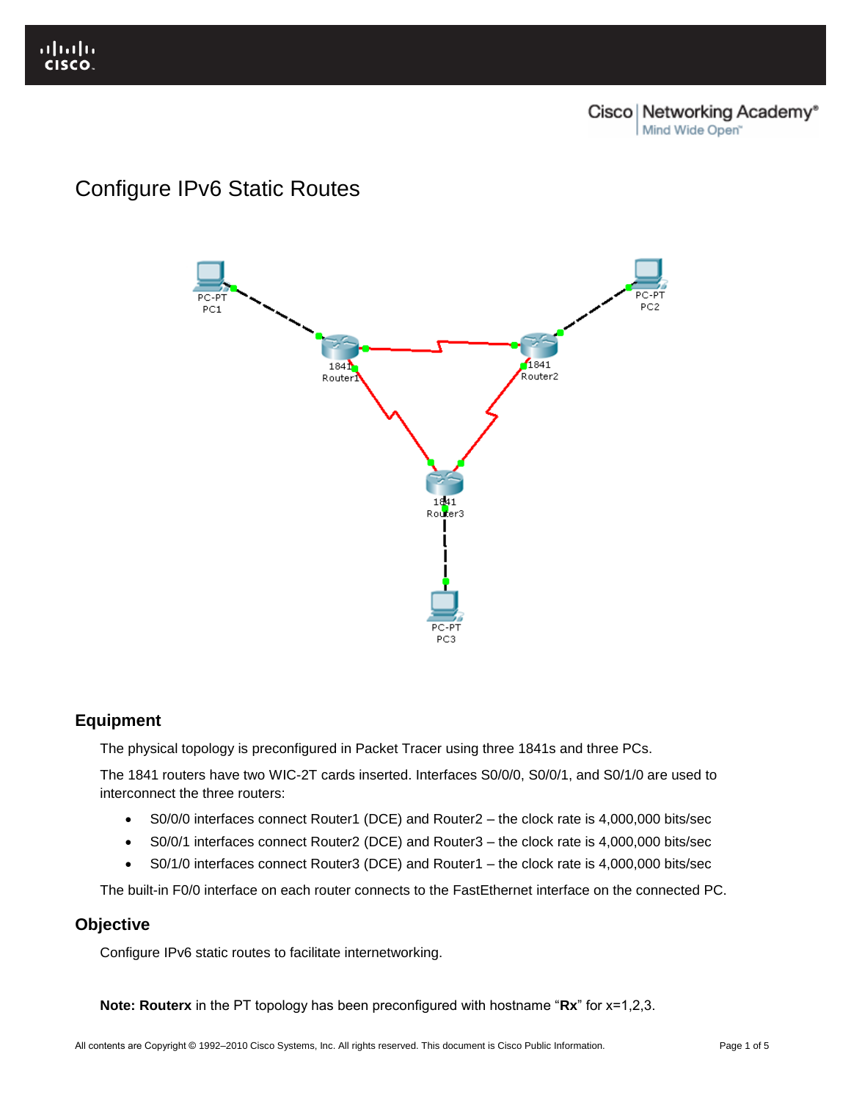# Configure IPv6 Static Routes



# **Equipment**

The physical topology is preconfigured in Packet Tracer using three 1841s and three PCs.

The 1841 routers have two WIC-2T cards inserted. Interfaces S0/0/0, S0/0/1, and S0/1/0 are used to interconnect the three routers:

- S0/0/0 interfaces connect Router1 (DCE) and Router2 the clock rate is 4,000,000 bits/sec
- S0/0/1 interfaces connect Router2 (DCE) and Router3 the clock rate is 4,000,000 bits/sec
- S0/1/0 interfaces connect Router3 (DCE) and Router1 the clock rate is 4,000,000 bits/sec

The built-in F0/0 interface on each router connects to the FastEthernet interface on the connected PC.

# **Objective**

Configure IPv6 static routes to facilitate internetworking.

**Note: Routerx** in the PT topology has been preconfigured with hostname "**Rx**" for x=1,2,3.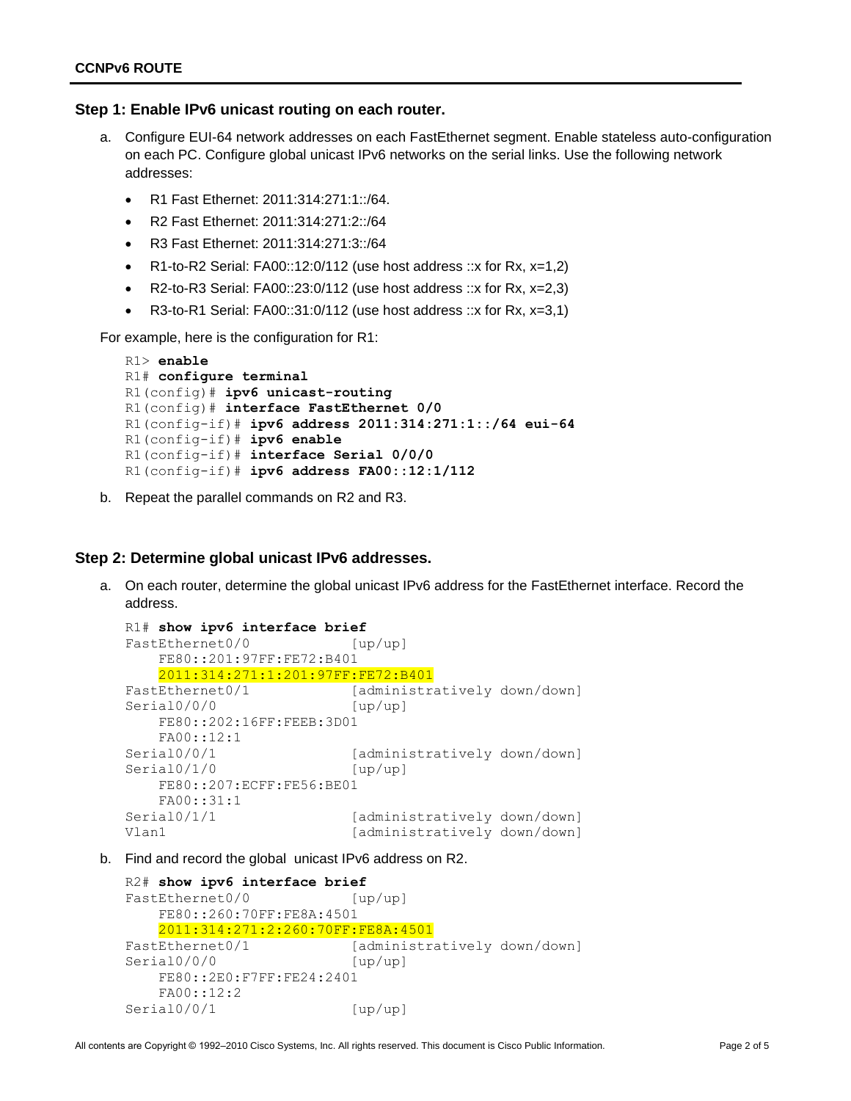### **Step 1: Enable IPv6 unicast routing on each router.**

- a. Configure EUI-64 network addresses on each FastEthernet segment. Enable stateless auto-configuration on each PC. Configure global unicast IPv6 networks on the serial links. Use the following network addresses:
	- R1 Fast Ethernet: 2011:314:271:1::/64.
	- R2 Fast Ethernet: 2011:314:271:2::/64
	- R3 Fast Ethernet: 2011:314:271:3::/64
	- R1-to-R2 Serial:  $FA00::12:0/112$  (use host address ::x for Rx, x=1,2)
	- R2-to-R3 Serial: FA00::23:0/112 (use host address ::x for Rx,  $x=2.3$ )
	- R3-to-R1 Serial: FA00::31:0/112 (use host address ::x for Rx,  $x=3,1$ )

For example, here is the configuration for R1:

```
R1> enable
R1# configure terminal
R1(config)# ipv6 unicast-routing
R1(config)# interface FastEthernet 0/0
R1(config-if)# ipv6 address 2011:314:271:1::/64 eui-64
R1(config-if)# ipv6 enable
R1(config-if)# interface Serial 0/0/0
R1(config-if)# ipv6 address FA00::12:1/112
```
b. Repeat the parallel commands on R2 and R3.

## **Step 2: Determine global unicast IPv6 addresses.**

a. On each router, determine the global unicast IPv6 address for the FastEthernet interface. Record the address.

```
R1# show ipv6 interface brief
FastEthernet0/0 [up/up]
    FE80::201:97FF:FE72:B401
    2011:314:271:1:201:97FF:FE72:B401
FastEthernet0/1 [administratively down/down]
Serial0/0/0 [up/up]
    FE80::202:16FF:FEEB:3D01
    FA00::12:1
Serial0/0/1 [administratively down/down]
Serial0/1/0 [up/up]
    FE80::207:ECFF:FE56:BE01
    FA00::31:1
Serial0/1/1 [administratively down/down]<br>Vlan1 [administratively down/down]
                         [administratively down/down]
```
b. Find and record the global unicast IPv6 address on R2.

```
R2# show ipv6 interface brief
FastEthernet0/0 [up/up]
    FE80::260:70FF:FE8A:4501
    2011:314:271:2:260:70FF:FE8A:4501
FastEthernet0/1 [administratively down/down]
Serial0/0/0 [up/up]
    FE80::2E0:F7FF:FE24:2401
    FA00::12:2
Serial0/0/1 [up/up]
```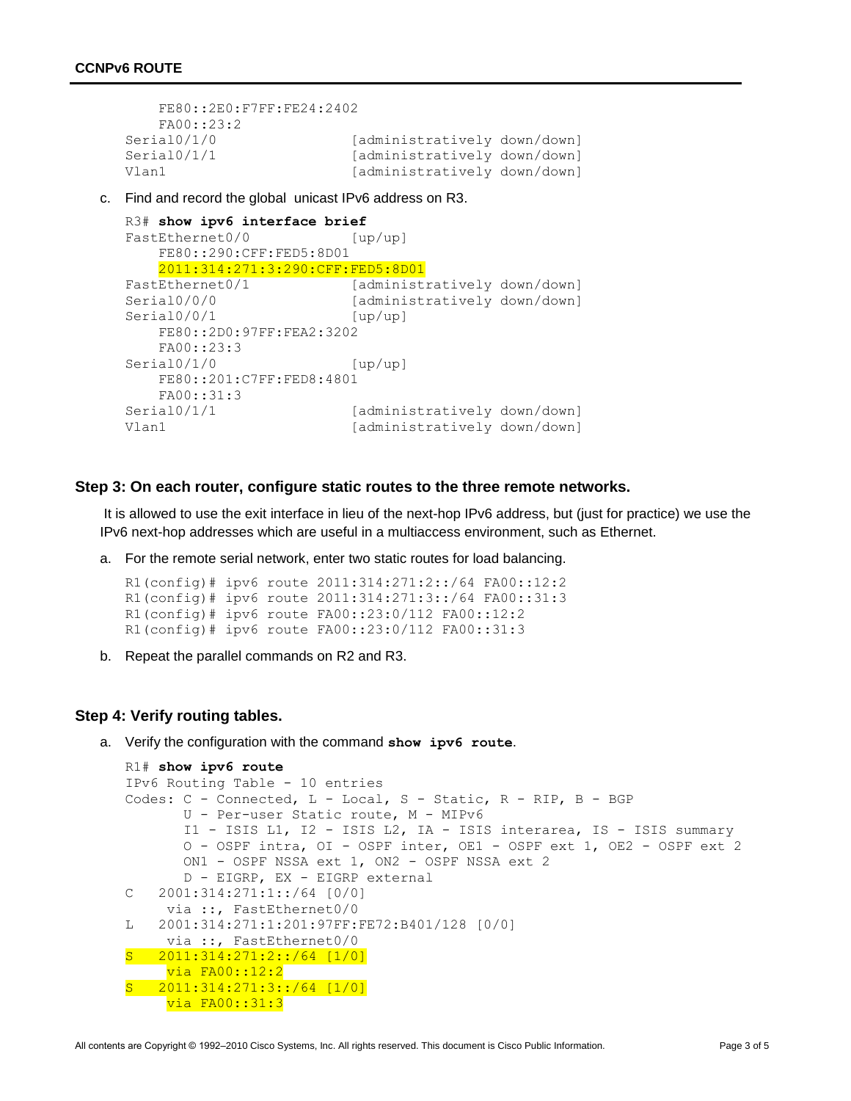```
 FE80::2E0:F7FF:FE24:2402
    FA00::23:2
Serial0/1/0 [administratively down/down]
Serial0/1/1 [administratively down/down]
Vlan1 [administratively down/down]
```
c. Find and record the global unicast IPv6 address on R3.

```
R3# show ipv6 interface brief
FastEthernet0/0 [up/up]
    FE80::290:CFF:FED5:8D01
    2011:314:271:3:290:CFF:FED5:8D01
FastEthernet0/1 [administratively down/down]
Serial0/0/0 [administratively down/down]
Serial0/0/1 [up/up]
    FE80::2D0:97FF:FEA2:3202
    FA00::23:3
Serial0/1/0 [up/up]
    FE80::201:C7FF:FED8:4801
    FA00::31:3
Serial0/1/1 [administratively down/down]
Vlan1 [administratively down/down]
```
#### **Step 3: On each router, configure static routes to the three remote networks.**

It is allowed to use the exit interface in lieu of the next-hop IPv6 address, but (just for practice) we use the IPv6 next-hop addresses which are useful in a multiaccess environment, such as Ethernet.

a. For the remote serial network, enter two static routes for load balancing.

R1(config)# ipv6 route 2011:314:271:2::/64 FA00::12:2 R1(config)# ipv6 route 2011:314:271:3::/64 FA00::31:3 R1(config)# ipv6 route FA00::23:0/112 FA00::12:2 R1(config)# ipv6 route FA00::23:0/112 FA00::31:3

b. Repeat the parallel commands on R2 and R3.

#### **Step 4: Verify routing tables.**

a. Verify the configuration with the command **show ipv6 route**.

```
R1# show ipv6 route
IPv6 Routing Table - 10 entries
Codes: C - Connected, L - Local, S - Static, R - RIP, B - BGP
        U - Per-user Static route, M - MIPv6
        I1 - ISIS L1, I2 - ISIS L2, IA - ISIS interarea, IS - ISIS summary
        O - OSPF intra, OI - OSPF inter, OE1 - OSPF ext 1, OE2 - OSPF ext 2
        ON1 - OSPF NSSA ext 1, ON2 - OSPF NSSA ext 2
        D - EIGRP, EX - EIGRP external
C 2001:314:271:1::/64 [0/0]
     via ::, FastEthernet0/0
L 2001:314:271:1:201:97FF:FE72:B401/128 [0/0]
     via ::, FastEthernet0/0
S 2011:314:271:2::/64 [1/0]
     via FA00::12:2
S 2011:314:271:3::/64 [1/0]
     via FA00::31:3
```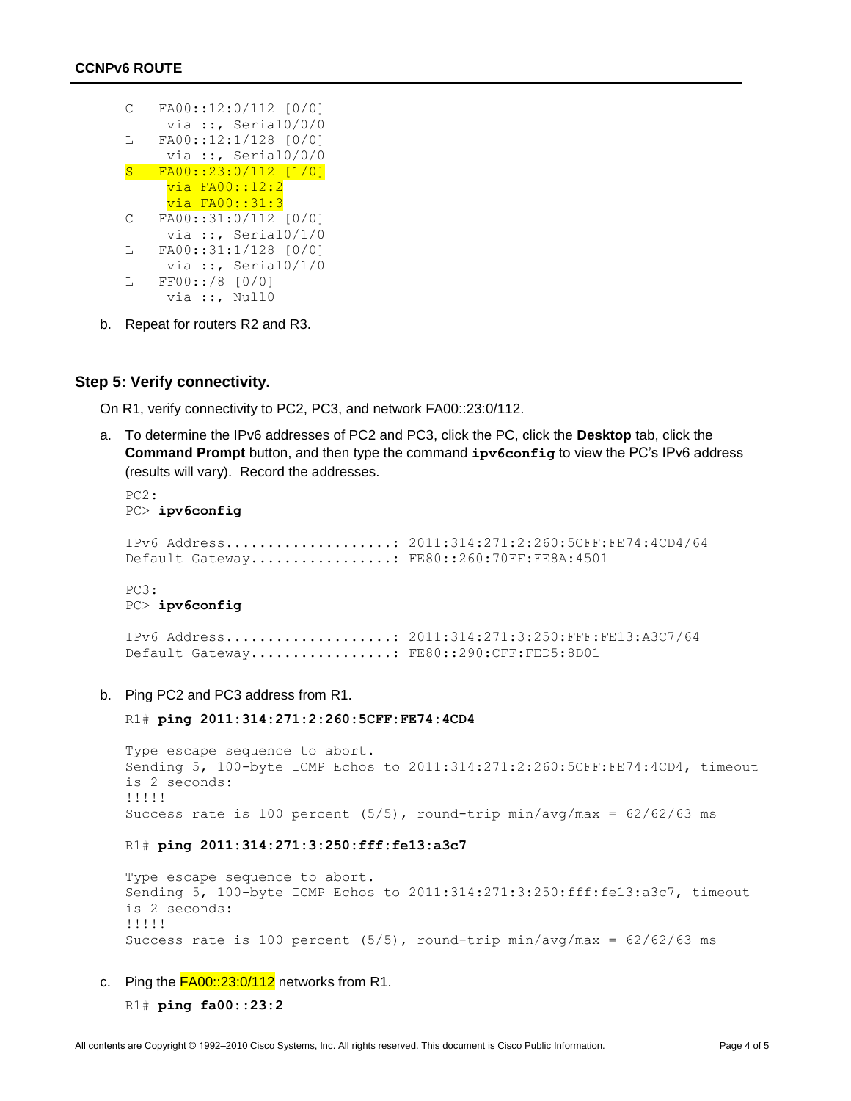| C  | FA00::12:0/112 [0/0]   |
|----|------------------------|
|    | via ::, Serial $0/0/0$ |
| L  | FA00::12:1/128 [0/0]   |
|    | via ::, Serial $0/0/0$ |
| S  | FA00::23:0/112 [1/0]   |
|    | via FA00::12:2         |
|    | <u>via FA00::31:3</u>  |
| С  | FA00::31:0/112 [0/0]   |
|    | via ::, Serial $0/1/0$ |
| L  | FA00::31:1/128 [0/0]   |
|    | via ::, Serial $0/1/0$ |
| т. | $FF00::/8$ [0/0]       |
|    | via ::, Null0          |

b. Repeat for routers R2 and R3.

### **Step 5: Verify connectivity.**

On R1, verify connectivity to PC2, PC3, and network FA00::23:0/112.

a. To determine the IPv6 addresses of PC2 and PC3, click the PC, click the **Desktop** tab, click the **Command Prompt** button, and then type the command **ipv6config** to view the PC's IPv6 address (results will vary). Record the addresses.

```
PC2: 
PC> ipv6config
IPv6 Address....................: 2011:314:271:2:260:5CFF:FE74:4CD4/64
Default Gateway.................: FE80::260:70FF:FE8A:4501
PC3:
PC> ipv6config
```

```
IPv6 Address....................: 2011:314:271:3:250:FFF:FE13:A3C7/64
Default Gateway................. FE80::290:CFF:FED5:8D01
```
b. Ping PC2 and PC3 address from R1.

R1# **ping 2011:314:271:2:260:5CFF:FE74:4CD4**

Type escape sequence to abort. Sending 5, 100-byte ICMP Echos to 2011:314:271:2:260:5CFF:FE74:4CD4, timeout is 2 seconds: !!!!! Success rate is 100 percent (5/5), round-trip min/avg/max = 62/62/63 ms

R1# **ping 2011:314:271:3:250:fff:fe13:a3c7**

Type escape sequence to abort. Sending 5, 100-byte ICMP Echos to 2011:314:271:3:250:fff:fe13:a3c7, timeout is 2 seconds: !!!!! Success rate is 100 percent  $(5/5)$ , round-trip min/avg/max =  $62/62/63$  ms

c. Ping the  $FAO0::23:0/112$  networks from R1.

```
R1# ping fa00::23:2
```